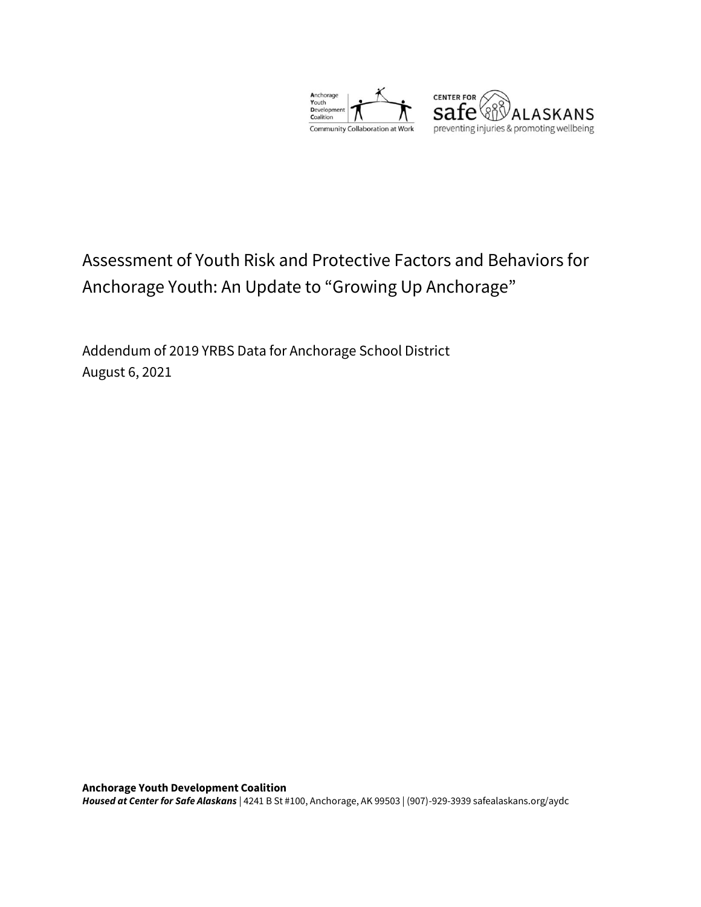



# Assessment of Youth Risk and Protective Factors and Behaviors for Anchorage Youth: An Update to "Growing Up Anchorage"

Addendum of 2019 YRBS Data for Anchorage School District August 6, 2021

**Anchorage Youth Development Coalition**  *Housed at Center for Safe Alaskans* | 4241 B St #100, Anchorage, AK 99503 | (907)-929-3939 safealaskans.org/aydc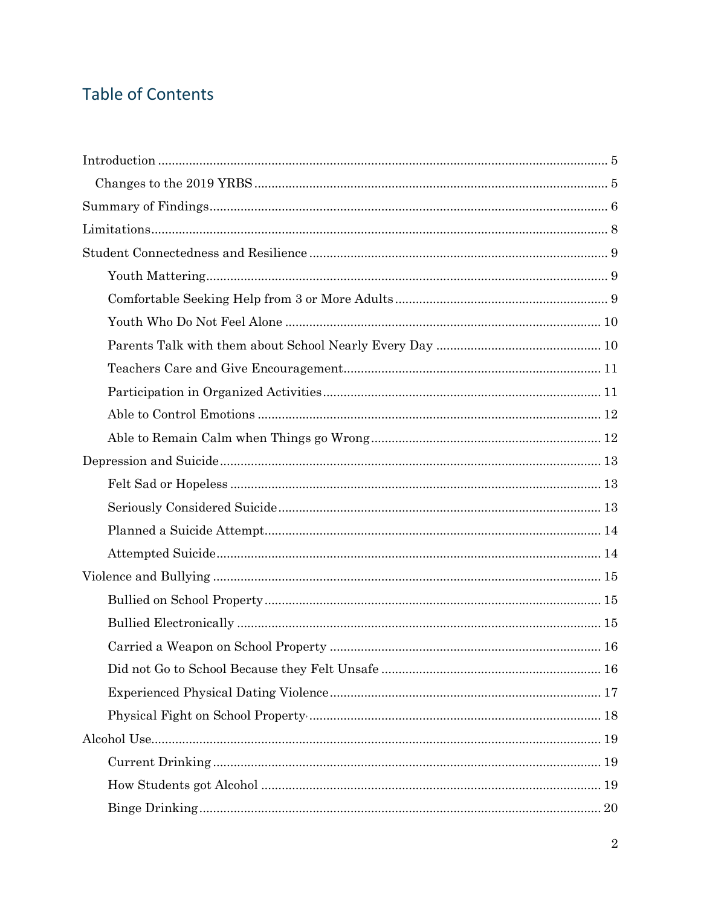# **Table of Contents**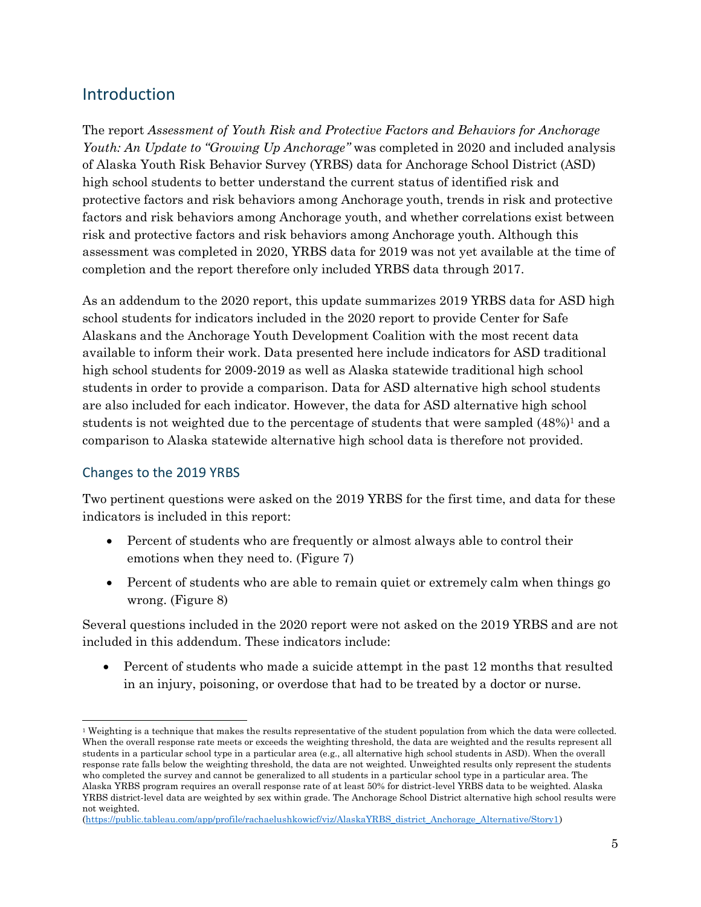## <span id="page-4-0"></span>Introduction

The report *Assessment of Youth Risk and Protective Factors and Behaviors for Anchorage Youth: An Update to "Growing Up Anchorage"* was completed in 2020 and included analysis of Alaska Youth Risk Behavior Survey (YRBS) data for Anchorage School District (ASD) high school students to better understand the current status of identified risk and protective factors and risk behaviors among Anchorage youth, trends in risk and protective factors and risk behaviors among Anchorage youth, and whether correlations exist between risk and protective factors and risk behaviors among Anchorage youth. Although this assessment was completed in 2020, YRBS data for 2019 was not yet available at the time of completion and the report therefore only included YRBS data through 2017.

As an addendum to the 2020 report, this update summarizes 2019 YRBS data for ASD high school students for indicators included in the 2020 report to provide Center for Safe Alaskans and the Anchorage Youth Development Coalition with the most recent data available to inform their work. Data presented here include indicators for ASD traditional high school students for 2009-2019 as well as Alaska statewide traditional high school students in order to provide a comparison. Data for ASD alternative high school students are also included for each indicator. However, the data for ASD alternative high school students is not weighted due to the percentage of students that were sampled  $(48\%)^1$  and a comparison to Alaska statewide alternative high school data is therefore not provided.

### <span id="page-4-1"></span>Changes to the 2019 YRBS

Two pertinent questions were asked on the 2019 YRBS for the first time, and data for these indicators is included in this report:

- Percent of students who are frequently or almost always able to control their emotions when they need to. (Figure 7)
- Percent of students who are able to remain quiet or extremely calm when things go wrong. (Figure 8)

Several questions included in the 2020 report were not asked on the 2019 YRBS and are not included in this addendum. These indicators include:

• Percent of students who made a suicide attempt in the past 12 months that resulted in an injury, poisoning, or overdose that had to be treated by a doctor or nurse.

<sup>&</sup>lt;sup>1</sup> Weighting is a technique that makes the results representative of the student population from which the data were collected. When the overall response rate meets or exceeds the weighting threshold, the data are weighted and the results represent all students in a particular school type in a particular area (e.g., all alternative high school students in ASD). When the overall response rate falls below the weighting threshold, the data are not weighted. Unweighted results only represent the students who completed the survey and cannot be generalized to all students in a particular school type in a particular area. The Alaska YRBS program requires an overall response rate of at least 50% for district-level YRBS data to be weighted. Alaska YRBS district-level data are weighted by sex within grade. The Anchorage School District alternative high school results were not weighted.

[<sup>\(</sup>https://public.tableau.com/app/profile/rachaelushkowicf/viz/AlaskaYRBS\\_district\\_Anchorage\\_Alternative/Story1\)](https://public.tableau.com/app/profile/rachaelushkowicf/viz/AlaskaYRBS_district_Anchorage_Alternative/Story1)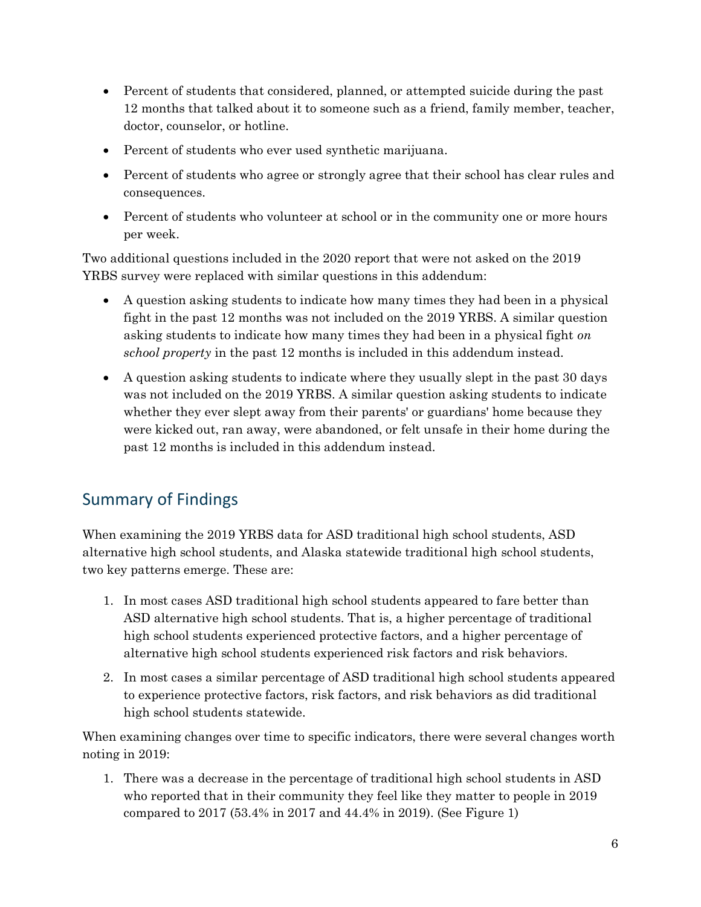- Percent of students that considered, planned, or attempted suicide during the past 12 months that talked about it to someone such as a friend, family member, teacher, doctor, counselor, or hotline.
- Percent of students who ever used synthetic marijuana.
- Percent of students who agree or strongly agree that their school has clear rules and consequences.
- Percent of students who volunteer at school or in the community one or more hours per week.

Two additional questions included in the 2020 report that were not asked on the 2019 YRBS survey were replaced with similar questions in this addendum:

- A question asking students to indicate how many times they had been in a physical fight in the past 12 months was not included on the 2019 YRBS. A similar question asking students to indicate how many times they had been in a physical fight *on school property* in the past 12 months is included in this addendum instead.
- A question asking students to indicate where they usually slept in the past 30 days was not included on the 2019 YRBS. A similar question asking students to indicate whether they ever slept away from their parents' or guardians' home because they were kicked out, ran away, were abandoned, or felt unsafe in their home during the past 12 months is included in this addendum instead.

## <span id="page-5-0"></span>Summary of Findings

When examining the 2019 YRBS data for ASD traditional high school students, ASD alternative high school students, and Alaska statewide traditional high school students, two key patterns emerge. These are:

- 1. In most cases ASD traditional high school students appeared to fare better than ASD alternative high school students. That is, a higher percentage of traditional high school students experienced protective factors, and a higher percentage of alternative high school students experienced risk factors and risk behaviors.
- 2. In most cases a similar percentage of ASD traditional high school students appeared to experience protective factors, risk factors, and risk behaviors as did traditional high school students statewide.

When examining changes over time to specific indicators, there were several changes worth noting in 2019:

1. There was a decrease in the percentage of traditional high school students in ASD who reported that in their community they feel like they matter to people in 2019 compared to 2017 (53.4% in 2017 and 44.4% in 2019). (See Figure 1)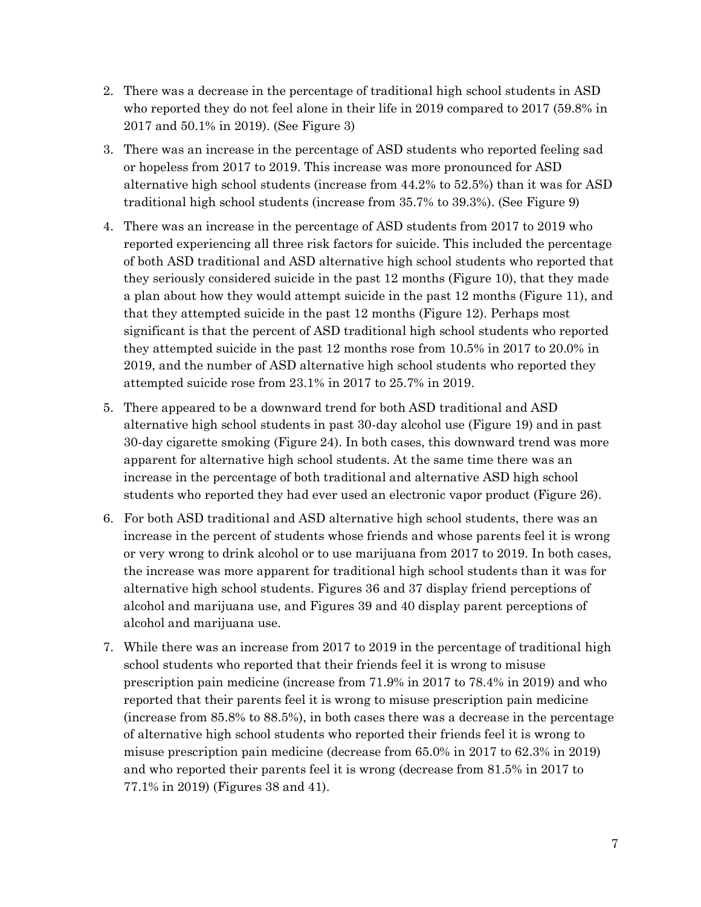- 2. There was a decrease in the percentage of traditional high school students in ASD who reported they do not feel alone in their life in 2019 compared to 2017 (59.8% in 2017 and 50.1% in 2019). (See Figure 3)
- 3. There was an increase in the percentage of ASD students who reported feeling sad or hopeless from 2017 to 2019. This increase was more pronounced for ASD alternative high school students (increase from 44.2% to 52.5%) than it was for ASD traditional high school students (increase from 35.7% to 39.3%). (See Figure 9)
- 4. There was an increase in the percentage of ASD students from 2017 to 2019 who reported experiencing all three risk factors for suicide. This included the percentage of both ASD traditional and ASD alternative high school students who reported that they seriously considered suicide in the past 12 months (Figure 10), that they made a plan about how they would attempt suicide in the past 12 months (Figure 11), and that they attempted suicide in the past 12 months (Figure 12). Perhaps most significant is that the percent of ASD traditional high school students who reported they attempted suicide in the past 12 months rose from 10.5% in 2017 to 20.0% in 2019, and the number of ASD alternative high school students who reported they attempted suicide rose from 23.1% in 2017 to 25.7% in 2019.
- 5. There appeared to be a downward trend for both ASD traditional and ASD alternative high school students in past 30-day alcohol use (Figure 19) and in past 30-day cigarette smoking (Figure 24). In both cases, this downward trend was more apparent for alternative high school students. At the same time there was an increase in the percentage of both traditional and alternative ASD high school students who reported they had ever used an electronic vapor product (Figure 26).
- 6. For both ASD traditional and ASD alternative high school students, there was an increase in the percent of students whose friends and whose parents feel it is wrong or very wrong to drink alcohol or to use marijuana from 2017 to 2019. In both cases, the increase was more apparent for traditional high school students than it was for alternative high school students. Figures 36 and 37 display friend perceptions of alcohol and marijuana use, and Figures 39 and 40 display parent perceptions of alcohol and marijuana use.
- 7. While there was an increase from 2017 to 2019 in the percentage of traditional high school students who reported that their friends feel it is wrong to misuse prescription pain medicine (increase from 71.9% in 2017 to 78.4% in 2019) and who reported that their parents feel it is wrong to misuse prescription pain medicine (increase from 85.8% to 88.5%), in both cases there was a decrease in the percentage of alternative high school students who reported their friends feel it is wrong to misuse prescription pain medicine (decrease from 65.0% in 2017 to 62.3% in 2019) and who reported their parents feel it is wrong (decrease from 81.5% in 2017 to 77.1% in 2019) (Figures 38 and 41).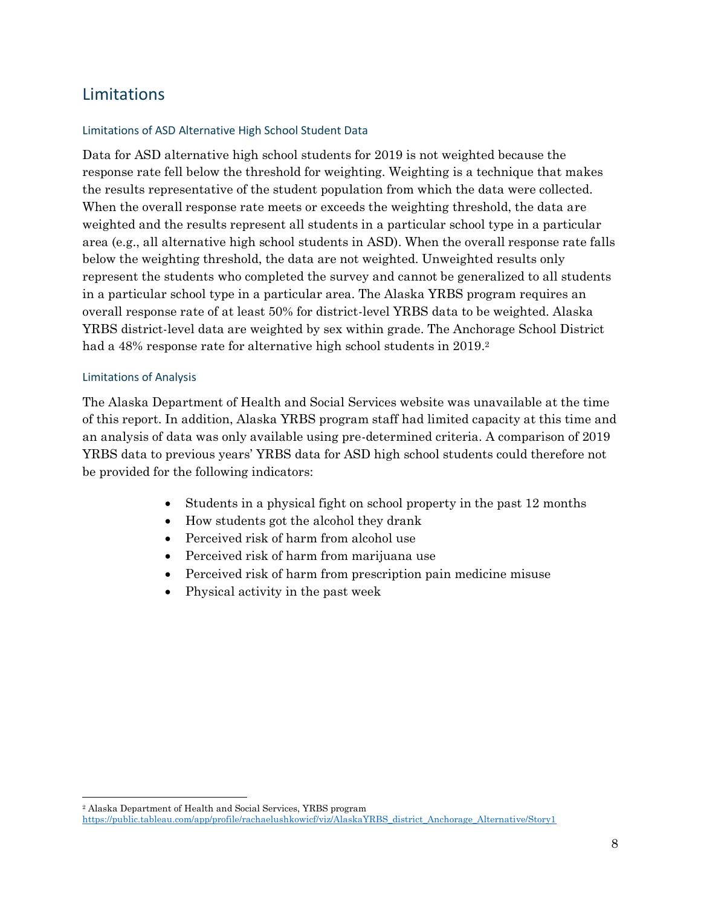## <span id="page-7-0"></span>Limitations

### Limitations of ASD Alternative High School Student Data

Data for ASD alternative high school students for 2019 is not weighted because the response rate fell below the threshold for weighting. Weighting is a technique that makes the results representative of the student population from which the data were collected. When the overall response rate meets or exceeds the weighting threshold, the data are weighted and the results represent all students in a particular school type in a particular area (e.g., all alternative high school students in ASD). When the overall response rate falls below the weighting threshold, the data are not weighted. Unweighted results only represent the students who completed the survey and cannot be generalized to all students in a particular school type in a particular area. The Alaska YRBS program requires an overall response rate of at least 50% for district-level YRBS data to be weighted. Alaska YRBS district-level data are weighted by sex within grade. The Anchorage School District had a 48% response rate for alternative high school students in 2019.<sup>2</sup>

### Limitations of Analysis

The Alaska Department of Health and Social Services website was unavailable at the time of this report. In addition, Alaska YRBS program staff had limited capacity at this time and an analysis of data was only available using pre-determined criteria. A comparison of 2019 YRBS data to previous years' YRBS data for ASD high school students could therefore not be provided for the following indicators:

- Students in a physical fight on school property in the past 12 months
- How students got the alcohol they drank
- Perceived risk of harm from alcohol use
- Perceived risk of harm from marijuana use
- Perceived risk of harm from prescription pain medicine misuse
- Physical activity in the past week

<sup>2</sup> Alaska Department of Health and Social Services, YRBS program [https://public.tableau.com/app/profile/rachaelushkowicf/viz/AlaskaYRBS\\_district\\_Anchorage\\_Alternative/Story1](https://public.tableau.com/app/profile/rachaelushkowicf/viz/AlaskaYRBS_district_Anchorage_Alternative/Story1)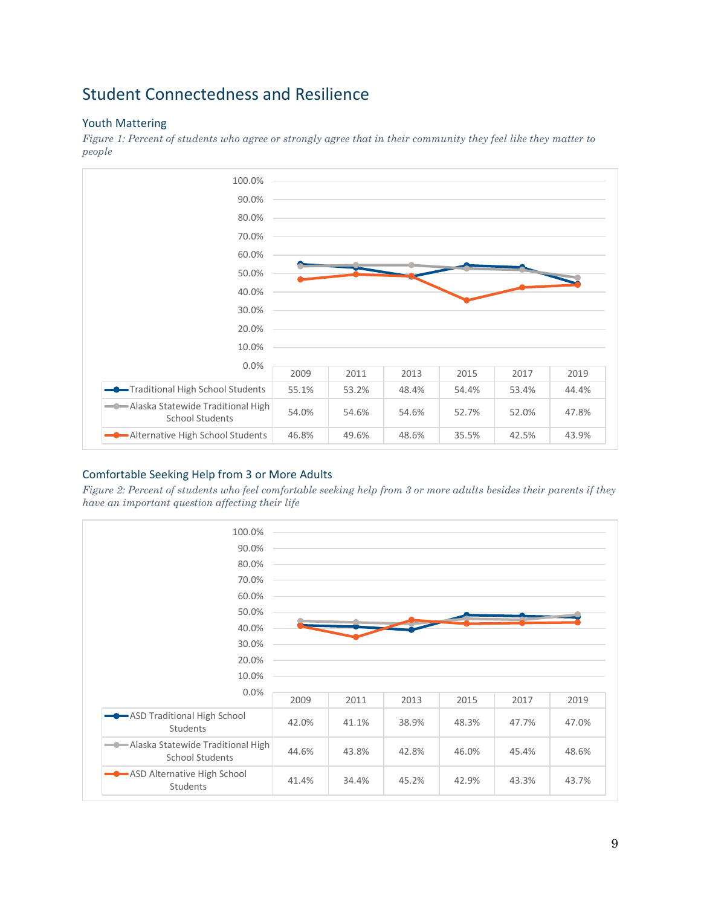## <span id="page-8-0"></span>Student Connectedness and Resilience

### <span id="page-8-1"></span>Youth Mattering

*Figure 1: Percent of students who agree or strongly agree that in their community they feel like they matter to people*



### <span id="page-8-2"></span>Comfortable Seeking Help from 3 or More Adults

*Figure 2: Percent of students who feel comfortable seeking help from 3 or more adults besides their parents if they have an important question affecting their life*

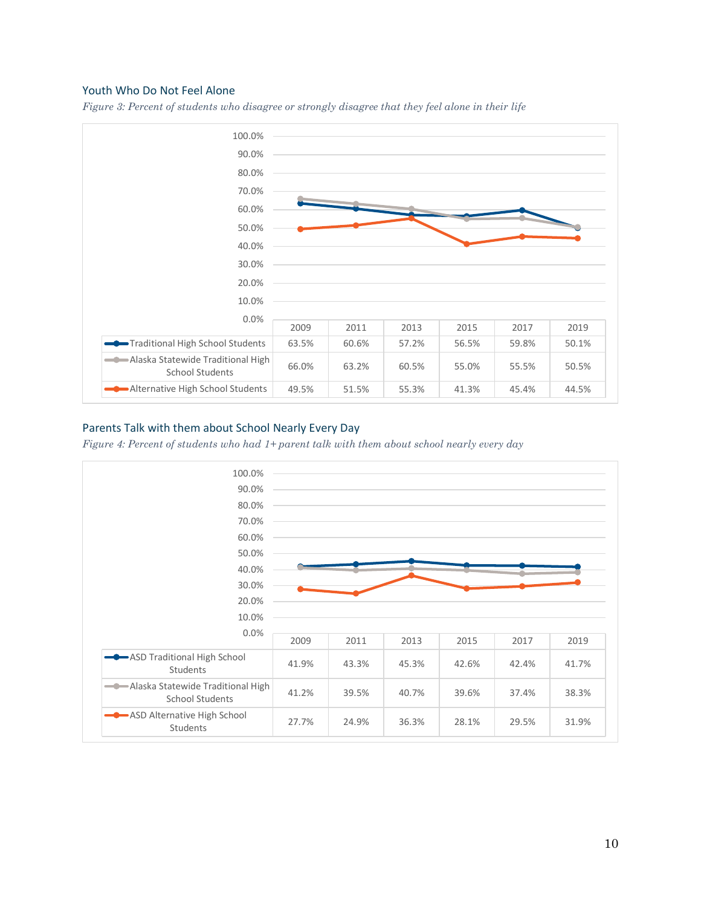#### <span id="page-9-0"></span>Youth Who Do Not Feel Alone





### <span id="page-9-1"></span>Parents Talk with them about School Nearly Every Day

*Figure 4: Percent of students who had 1+ parent talk with them about school nearly every day*

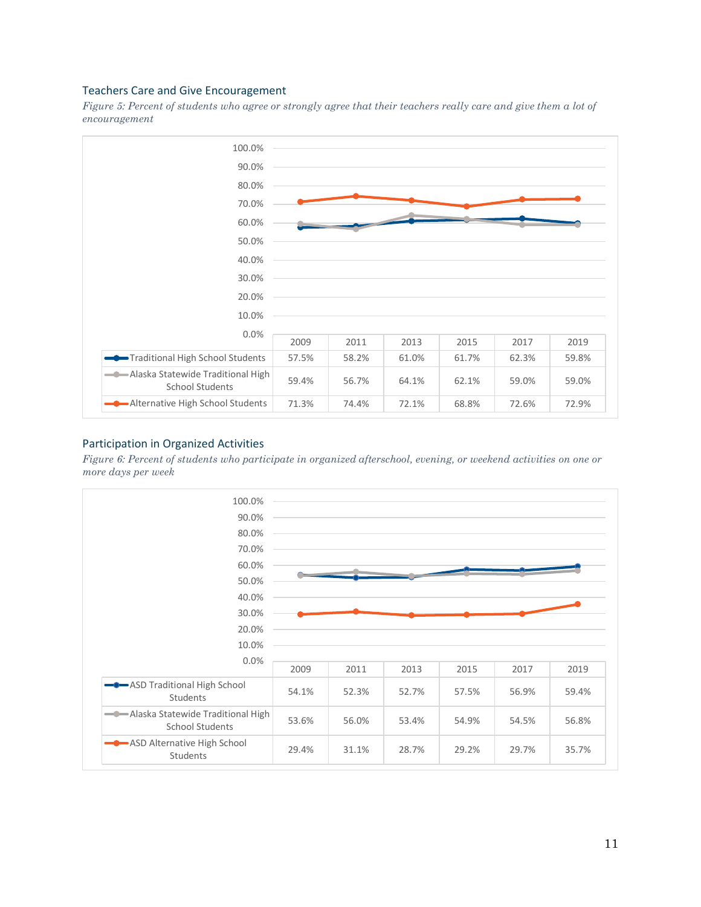#### <span id="page-10-0"></span>Teachers Care and Give Encouragement

*Figure 5: Percent of students who agree or strongly agree that their teachers really care and give them a lot of encouragement*



#### <span id="page-10-1"></span>Participation in Organized Activities

*Figure 6: Percent of students who participate in organized afterschool, evening, or weekend activities on one or more days per week*

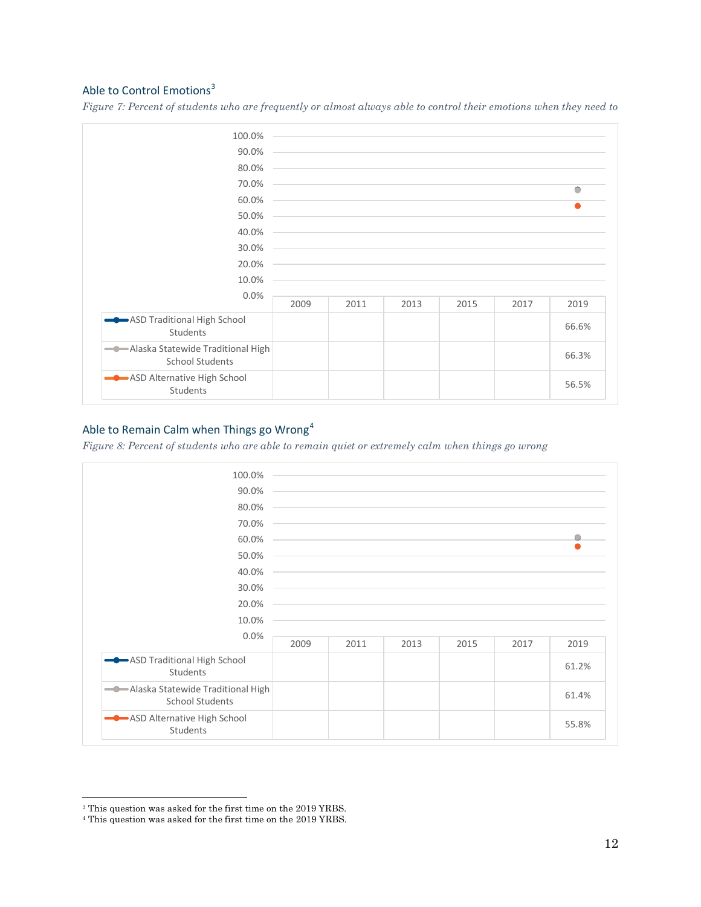### <span id="page-11-0"></span>Able to Control Emotions<sup>3</sup>

*Figure 7: Percent of students who are frequently or almost always able to control their emotions when they need to*

| 100.0%                                                      |      |      |                                                                                           |                                                                                                                      |      |            |
|-------------------------------------------------------------|------|------|-------------------------------------------------------------------------------------------|----------------------------------------------------------------------------------------------------------------------|------|------------|
| 90.0%                                                       |      |      |                                                                                           |                                                                                                                      |      |            |
| 80.0%                                                       |      |      |                                                                                           |                                                                                                                      |      |            |
| 70.0%                                                       |      |      |                                                                                           |                                                                                                                      |      | $\bigcirc$ |
| 60.0%                                                       |      |      |                                                                                           | and the control of the control of the control of the control of the control of the control of the control of the     |      |            |
| 50.0%                                                       |      |      | the control of the control of the control of the control of the control of the control of |                                                                                                                      |      |            |
| 40.0%                                                       |      |      |                                                                                           |                                                                                                                      |      |            |
| 30.0%                                                       |      |      |                                                                                           | <u> 1989 - Andrea Santa Andrea Andrea Andrea Andrea Andrea Andrea Andrea Andrea Andrea Andrea Andrea Andrea Andr</u> |      |            |
| 20.0%                                                       |      |      |                                                                                           | and the control of the control of the control of the control of the control of the control of the control of th      |      |            |
| 10.0%                                                       |      |      |                                                                                           |                                                                                                                      |      |            |
| 0.0%                                                        | 2009 | 2011 | 2013                                                                                      | 2015                                                                                                                 | 2017 | 2019       |
|                                                             |      |      |                                                                                           |                                                                                                                      |      |            |
| ASD Traditional High School<br>Students                     |      |      |                                                                                           |                                                                                                                      |      | 66.6%      |
| Alaska Statewide Traditional High<br><b>School Students</b> |      |      |                                                                                           |                                                                                                                      |      | 66.3%      |
| ASD Alternative High School<br>Students                     |      |      |                                                                                           |                                                                                                                      |      | 56.5%      |

### <span id="page-11-1"></span>Able to Remain Calm when Things go Wrong<sup>4</sup>

*Figure 8: Percent of students who are able to remain quiet or extremely calm when things go wrong*

| 100.0%                                                        |      |      |                                                                                                                  |      |      |       |
|---------------------------------------------------------------|------|------|------------------------------------------------------------------------------------------------------------------|------|------|-------|
| 90.0%                                                         |      |      |                                                                                                                  |      |      |       |
| 80.0%                                                         |      |      |                                                                                                                  |      |      |       |
| 70.0%                                                         |      |      |                                                                                                                  |      |      |       |
| 60.0%                                                         |      |      |                                                                                                                  |      |      |       |
| 50.0%                                                         |      |      |                                                                                                                  |      |      |       |
| 40.0%                                                         |      |      | and the control of the control of the control of the control of the control of the control of the control of the |      |      |       |
| 30.0%                                                         |      |      |                                                                                                                  |      |      |       |
| 20.0%                                                         |      |      |                                                                                                                  |      |      |       |
| 10.0%                                                         |      |      |                                                                                                                  |      |      |       |
| 0.0%                                                          | 2009 | 2011 | 2013                                                                                                             | 2015 | 2017 | 2019  |
| ASD Traditional High School<br>Students                       |      |      |                                                                                                                  |      |      | 61.2% |
| - Alaska Statewide Traditional High<br><b>School Students</b> |      |      |                                                                                                                  |      |      | 61.4% |
| ASD Alternative High School<br>Students                       |      |      |                                                                                                                  |      |      | 55.8% |

 $^{\rm 3}$  This question was asked for the first time on the 2019 YRBS.

<sup>4</sup> This question was asked for the first time on the 2019 YRBS.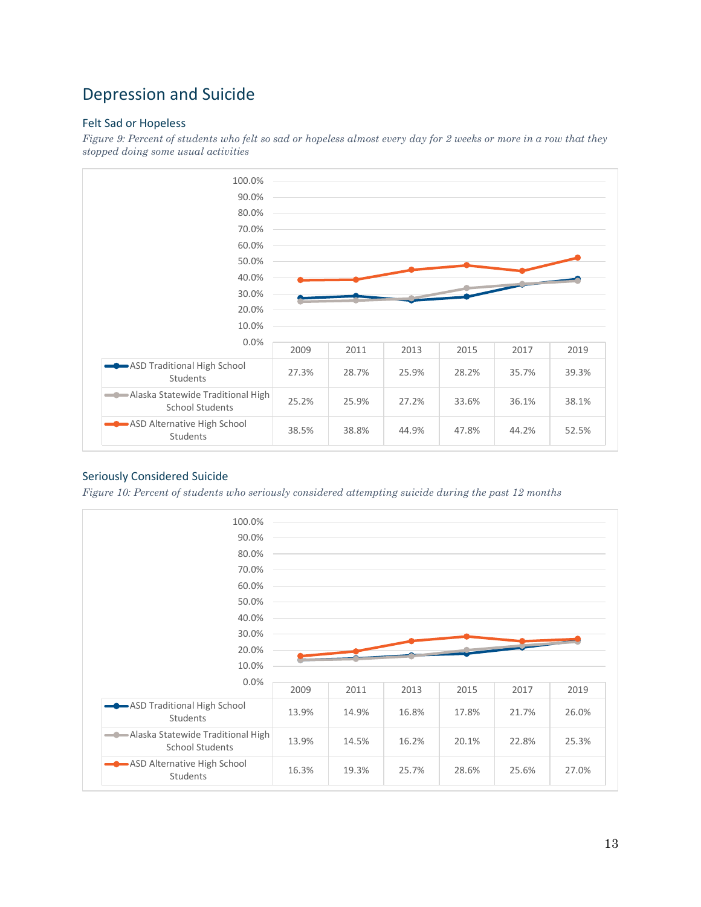## <span id="page-12-0"></span>Depression and Suicide

### <span id="page-12-1"></span>Felt Sad or Hopeless

*Figure 9: Percent of students who felt so sad or hopeless almost every day for 2 weeks or more in a row that they stopped doing some usual activities*



### <span id="page-12-2"></span>Seriously Considered Suicide

*Figure 10: Percent of students who seriously considered attempting suicide during the past 12 months*

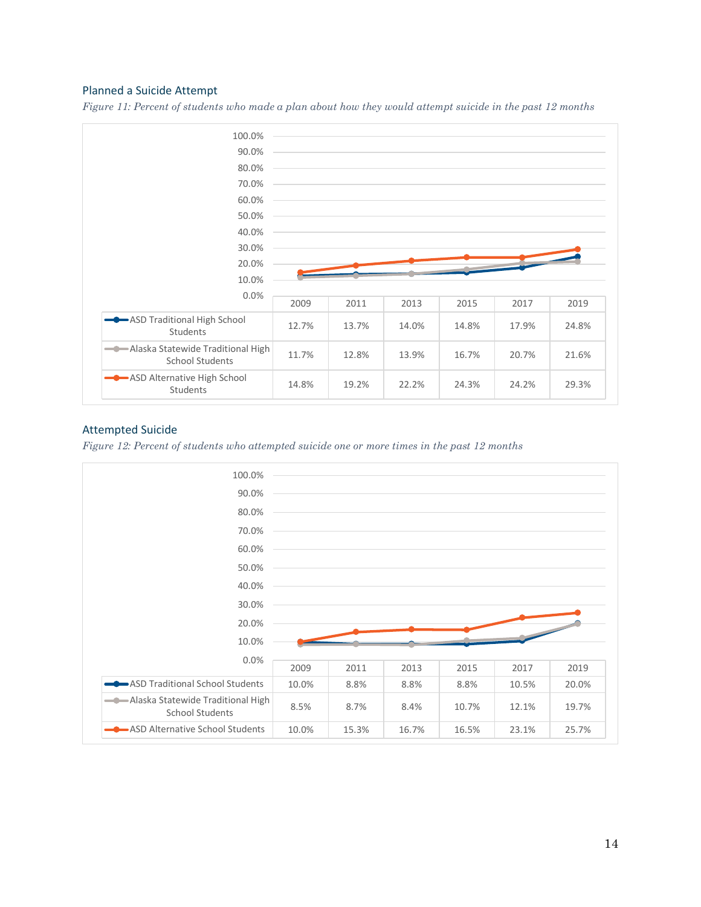#### <span id="page-13-0"></span>Planned a Suicide Attempt

*Figure 11: Percent of students who made a plan about how they would attempt suicide in the past 12 months*



#### <span id="page-13-1"></span>Attempted Suicide

*Figure 12: Percent of students who attempted suicide one or more times in the past 12 months*

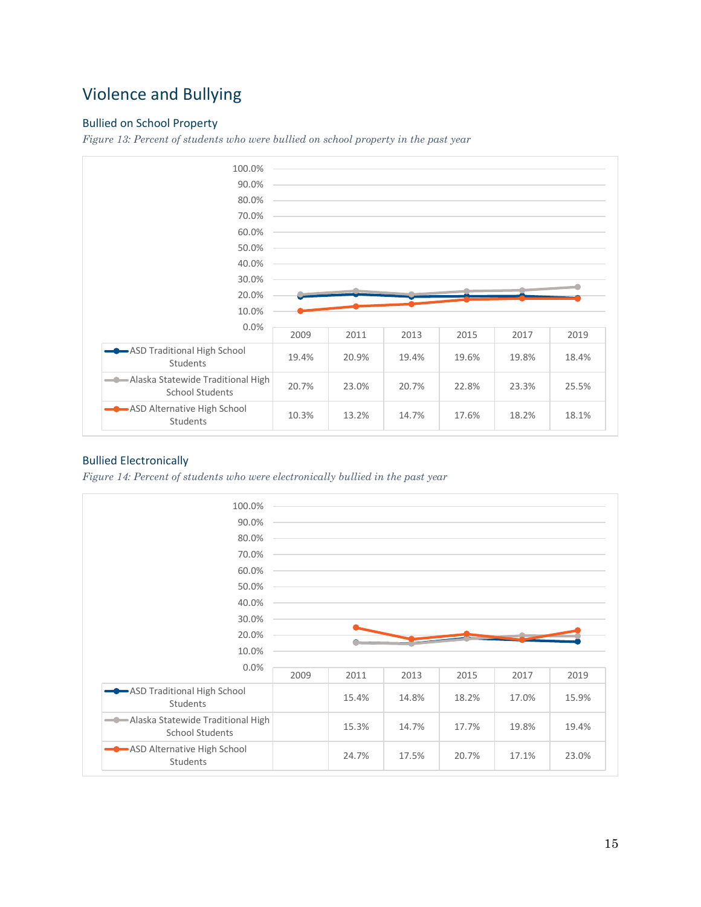## <span id="page-14-0"></span>Violence and Bullying

### <span id="page-14-1"></span>Bullied on School Property

*Figure 13: Percent of students who were bullied on school property in the past year*



### <span id="page-14-2"></span>Bullied Electronically

*Figure 14: Percent of students who were electronically bullied in the past year*

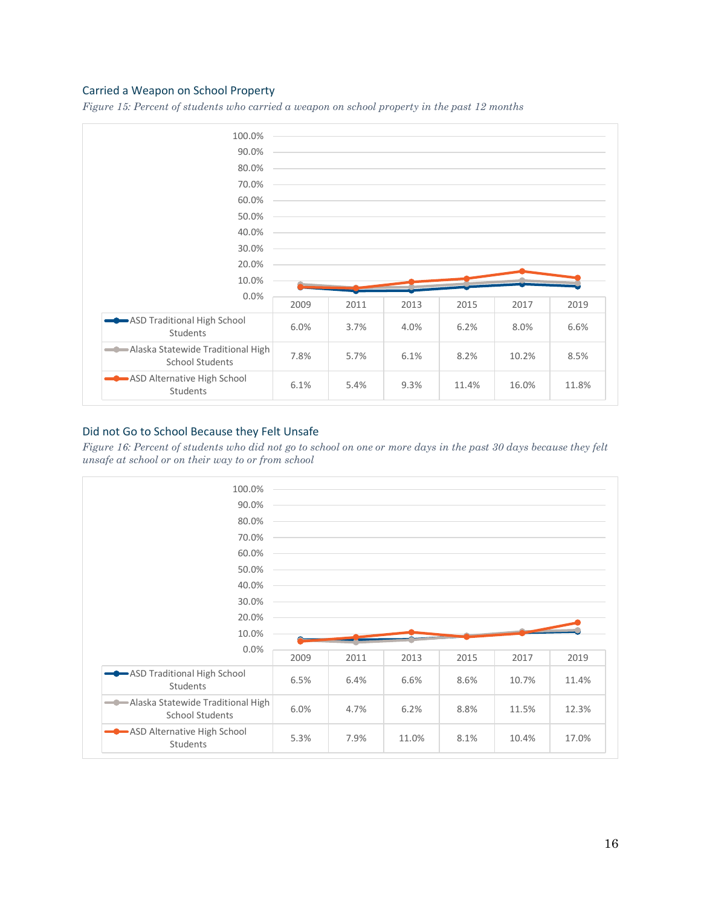#### <span id="page-15-0"></span>Carried a Weapon on School Property

*Figure 15: Percent of students who carried a weapon on school property in the past 12 months*



#### <span id="page-15-1"></span>Did not Go to School Because they Felt Unsafe

*Figure 16: Percent of students who did not go to school on one or more days in the past 30 days because they felt unsafe at school or on their way to or from school*

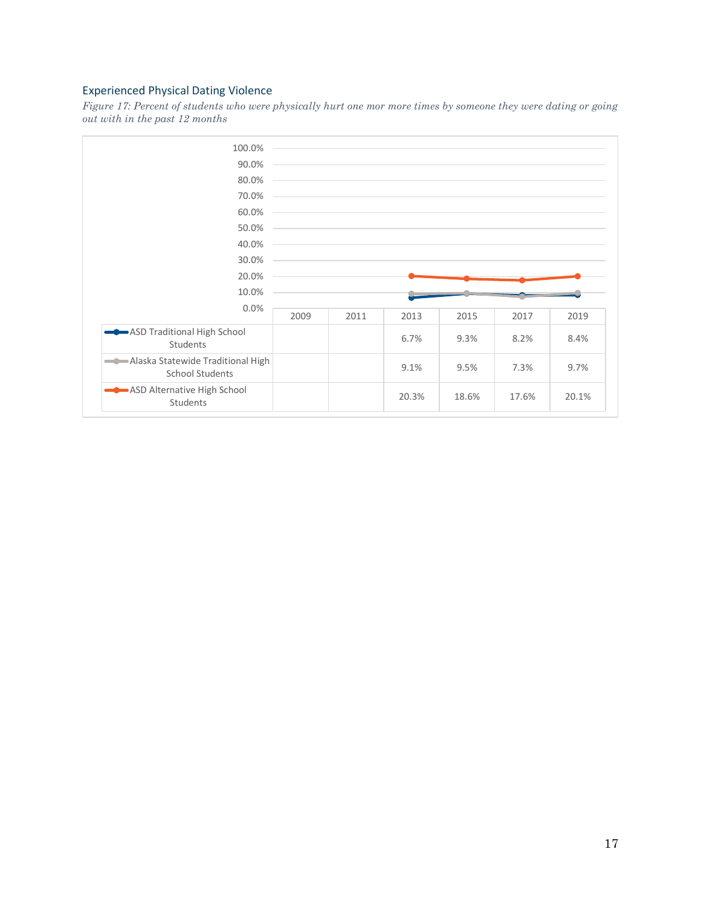### <span id="page-16-0"></span>Experienced Physical Dating Violence

*Figure 17: Percent of students who were physically hurt one mor more times by someone they were dating or going out with in the past 12 months*

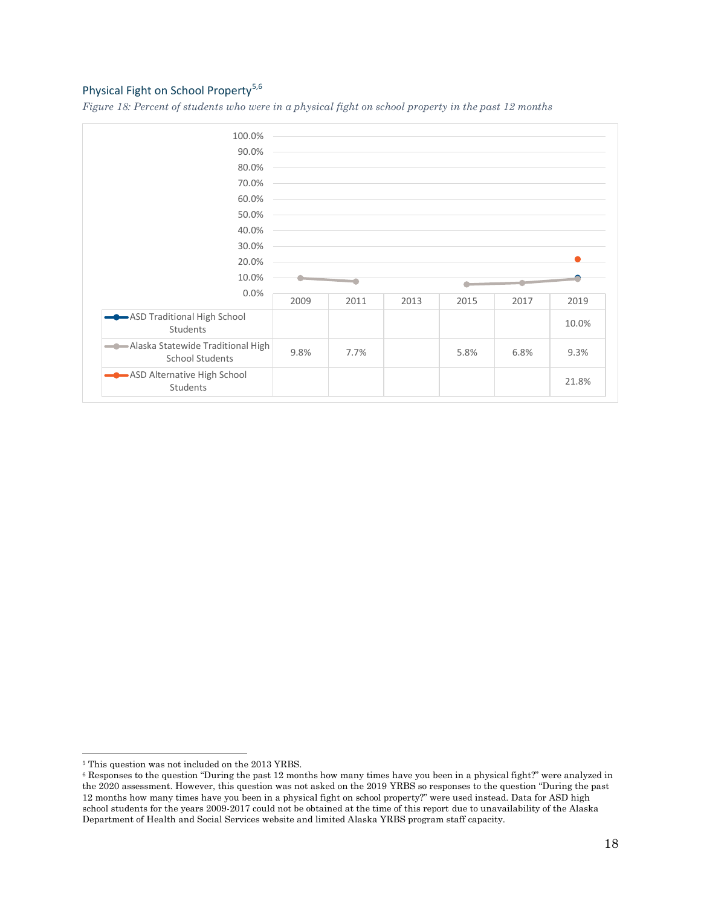### <span id="page-17-0"></span>Physical Fight on School Property<sup>5,6</sup>

*Figure 18: Percent of students who were in a physical fight on school property in the past 12 months*



<sup>5</sup> This question was not included on the 2013 YRBS.

<sup>6</sup> Responses to the question "During the past 12 months how many times have you been in a physical fight?" were analyzed in the 2020 assessment. However, this question was not asked on the 2019 YRBS so responses to the question "During the past 12 months how many times have you been in a physical fight on school property?" were used instead. Data for ASD high school students for the years 2009-2017 could not be obtained at the time of this report due to unavailability of the Alaska Department of Health and Social Services website and limited Alaska YRBS program staff capacity.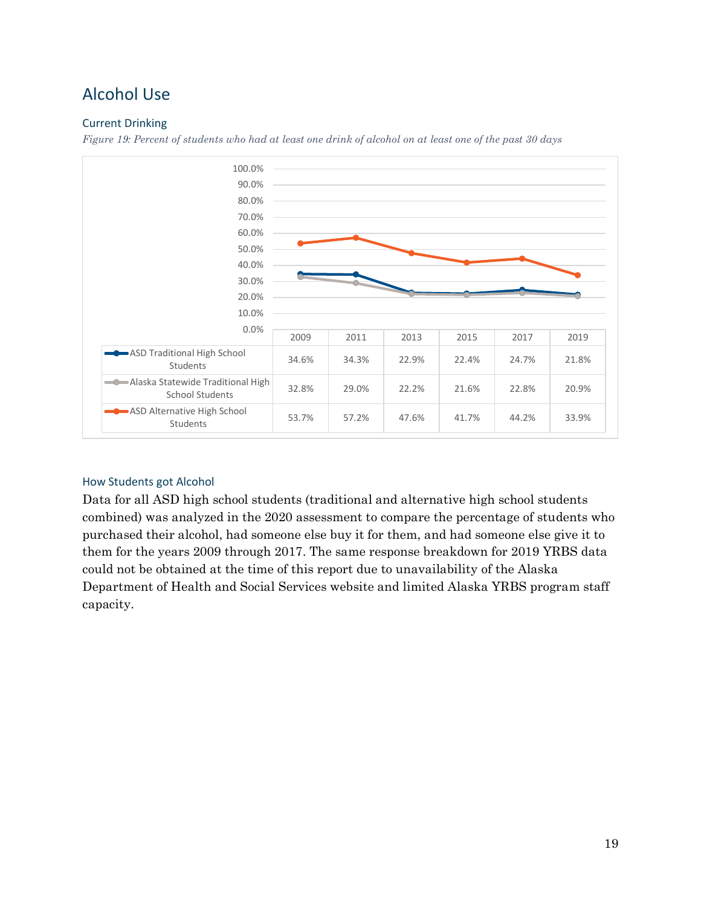## <span id="page-18-0"></span>Alcohol Use

### <span id="page-18-1"></span>Current Drinking

*Figure 19: Percent of students who had at least one drink of alcohol on at least one of the past 30 days*



### <span id="page-18-2"></span>How Students got Alcohol

Data for all ASD high school students (traditional and alternative high school students combined) was analyzed in the 2020 assessment to compare the percentage of students who purchased their alcohol, had someone else buy it for them, and had someone else give it to them for the years 2009 through 2017. The same response breakdown for 2019 YRBS data could not be obtained at the time of this report due to unavailability of the Alaska Department of Health and Social Services website and limited Alaska YRBS program staff capacity.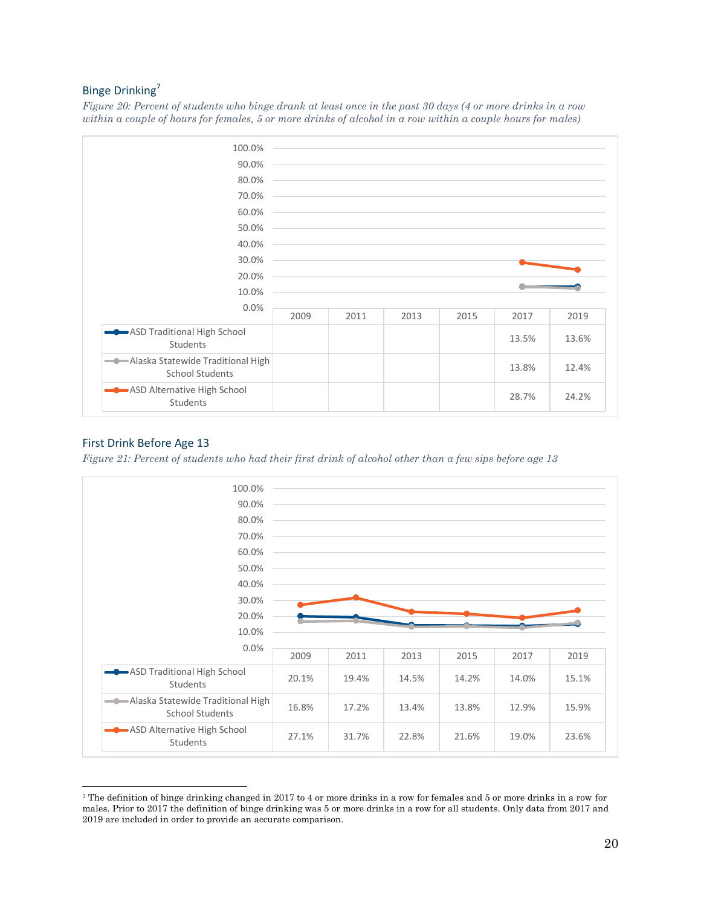### <span id="page-19-0"></span>Binge Drinking<sup>7</sup>

*Figure 20: Percent of students who binge drank at least once in the past 30 days (4 or more drinks in a row within a couple of hours for females, 5 or more drinks of alcohol in a row within a couple hours for males)*



#### <span id="page-19-1"></span>First Drink Before Age 13

*Figure 21: Percent of students who had their first drink of alcohol other than a few sips before age 13*



<sup>7</sup> The definition of binge drinking changed in 2017 to 4 or more drinks in a row for females and 5 or more drinks in a row for males. Prior to 2017 the definition of binge drinking was 5 or more drinks in a row for all students. Only data from 2017 and 2019 are included in order to provide an accurate comparison.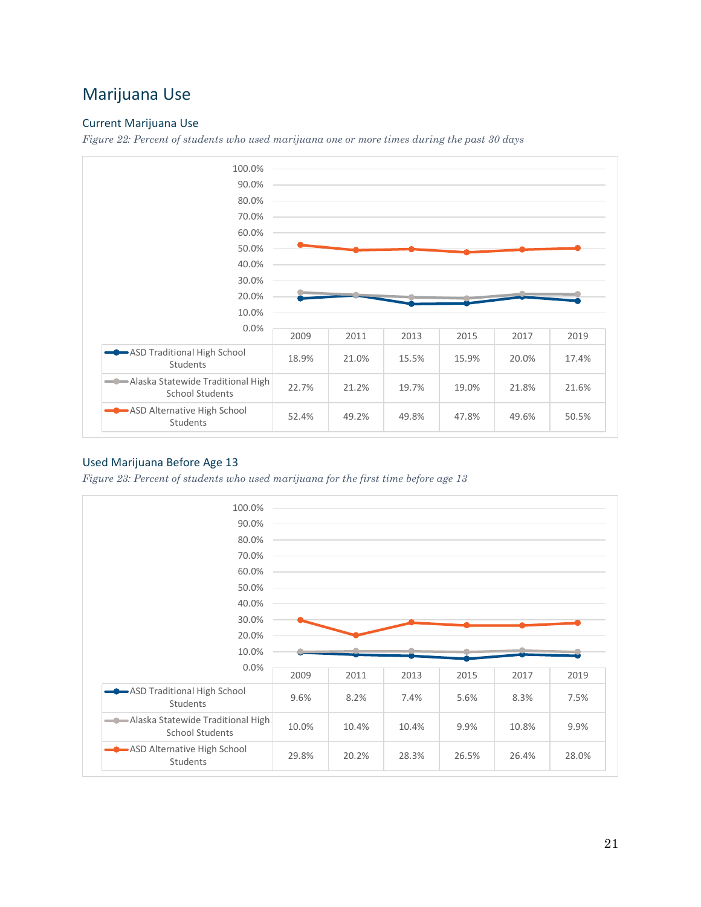## <span id="page-20-0"></span>Marijuana Use

### <span id="page-20-1"></span>Current Marijuana Use

*Figure 22: Percent of students who used marijuana one or more times during the past 30 days*



### <span id="page-20-2"></span>Used Marijuana Before Age 13

*Figure 23: Percent of students who used marijuana for the first time before age 13*

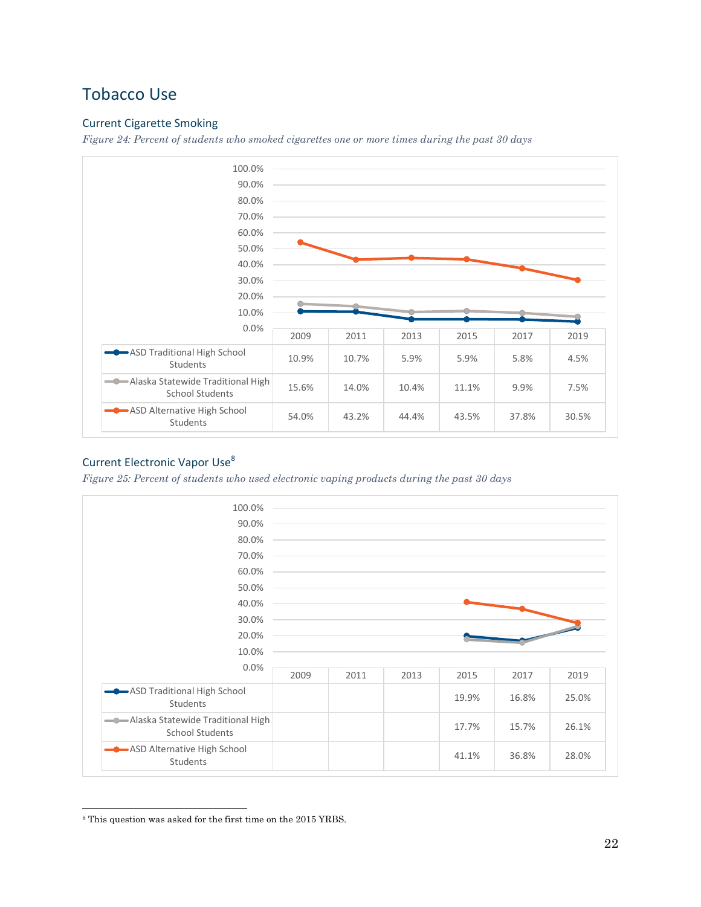## <span id="page-21-0"></span>Tobacco Use

### <span id="page-21-1"></span>Current Cigarette Smoking

*Figure 24: Percent of students who smoked cigarettes one or more times during the past 30 days*



### <span id="page-21-2"></span>Current Electronic Vapor Use<sup>8</sup>

*Figure 25: Percent of students who used electronic vaping products during the past 30 days*



<sup>8</sup> This question was asked for the first time on the 2015 YRBS.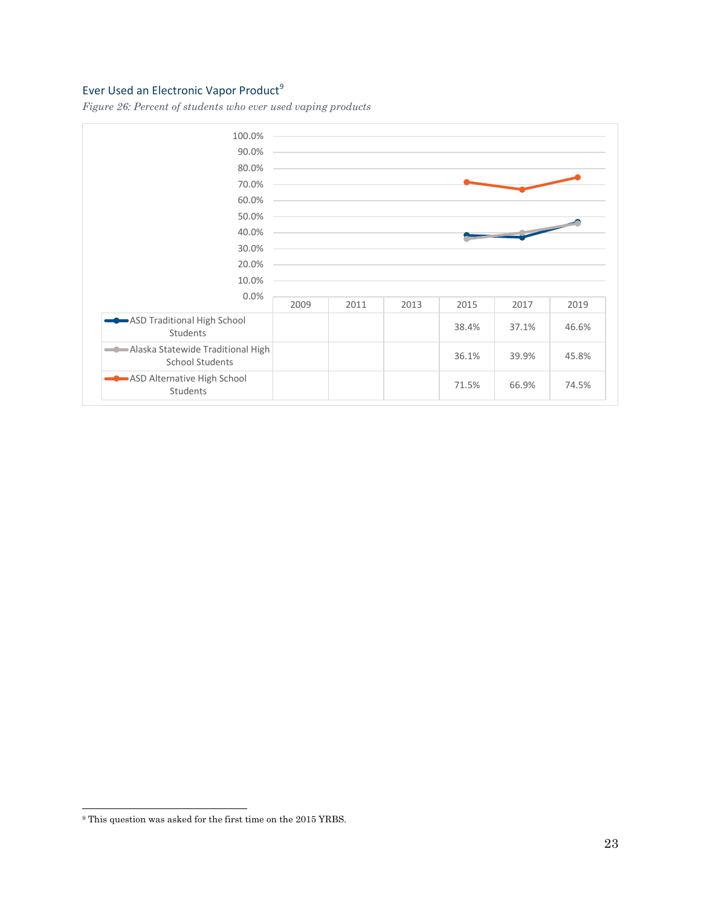### <span id="page-22-0"></span>Ever Used an Electronic Vapor Product<sup>9</sup>

*Figure 26: Percent of students who ever used vaping products*



<sup>9</sup> This question was asked for the first time on the 2015 YRBS.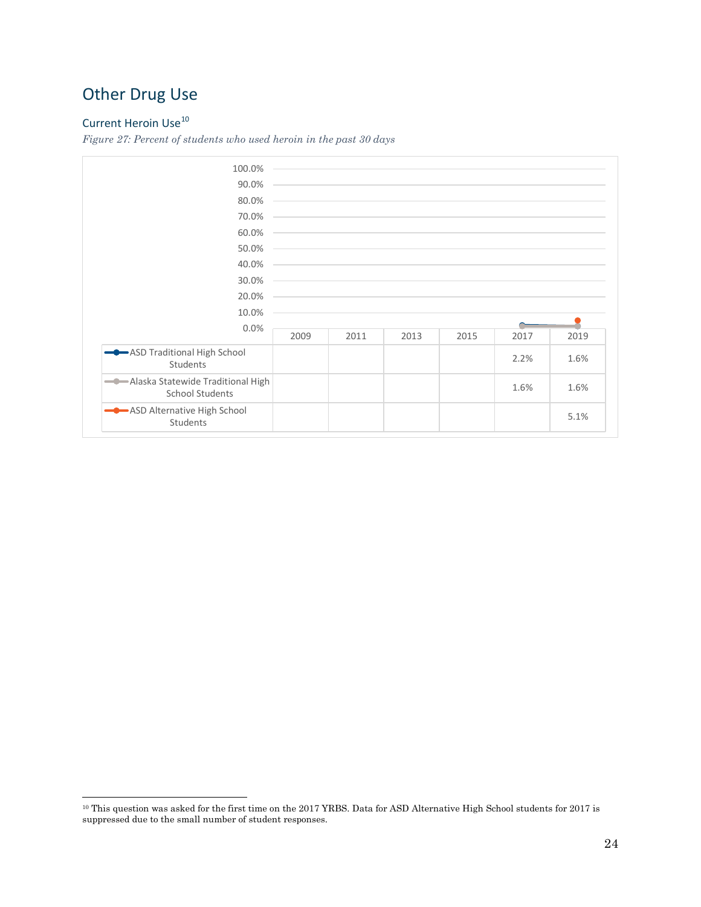## <span id="page-23-0"></span>Other Drug Use

## <span id="page-23-1"></span>Current Heroin Use<sup>10</sup>

*Figure 27: Percent of students who used heroin in the past 30 days*

| 100.0%                                                       |      |      |      |                                                                                                                                                                                                                               |      |      |
|--------------------------------------------------------------|------|------|------|-------------------------------------------------------------------------------------------------------------------------------------------------------------------------------------------------------------------------------|------|------|
| 90.0%                                                        |      |      |      |                                                                                                                                                                                                                               |      |      |
| 80.0%                                                        |      |      |      | <u> 1989 - Johann Stoff, amerikansk politiker (d. 1989)</u>                                                                                                                                                                   |      |      |
| 70.0%                                                        |      |      |      | the control of the control of the control of the control of the control of the control of the control of the control of the control of the control of the control of the control of the control of the control of the control |      |      |
| 60.0%                                                        |      |      |      | ,我们也不会有什么。""我们的人,我们也不会有什么?""我们的人,我们也不会有什么?""我们的人,我们也不会有什么?""我们的人,我们也不会有什么?""我们的人                                                                                                                                              |      |      |
| 50.0%                                                        |      |      |      |                                                                                                                                                                                                                               |      |      |
| 40.0%                                                        |      |      |      |                                                                                                                                                                                                                               |      |      |
| 30.0%                                                        |      |      |      |                                                                                                                                                                                                                               |      |      |
| 20.0%                                                        |      |      |      | ,我们也不会有什么。""我们的人,我们也不会有什么?""我们的人,我们也不会有什么?""我们的人,我们的人,我们的人,我们的人,我们的人,我们的人,我们的人,我                                                                                                                                              |      |      |
| 10.0%                                                        |      |      |      |                                                                                                                                                                                                                               |      |      |
| 0.0%                                                         |      |      |      |                                                                                                                                                                                                                               |      |      |
|                                                              | 2009 | 2011 | 2013 | 2015                                                                                                                                                                                                                          | 2017 | 2019 |
| ASD Traditional High School<br>Students                      |      |      |      |                                                                                                                                                                                                                               | 2.2% | 1.6% |
| -Alaska Statewide Traditional High<br><b>School Students</b> |      |      |      |                                                                                                                                                                                                                               | 1.6% | 1.6% |
| ASD Alternative High School<br>Students                      |      |      |      |                                                                                                                                                                                                                               |      | 5.1% |

<sup>10</sup> This question was asked for the first time on the 2017 YRBS. Data for ASD Alternative High School students for 2017 is suppressed due to the small number of student responses.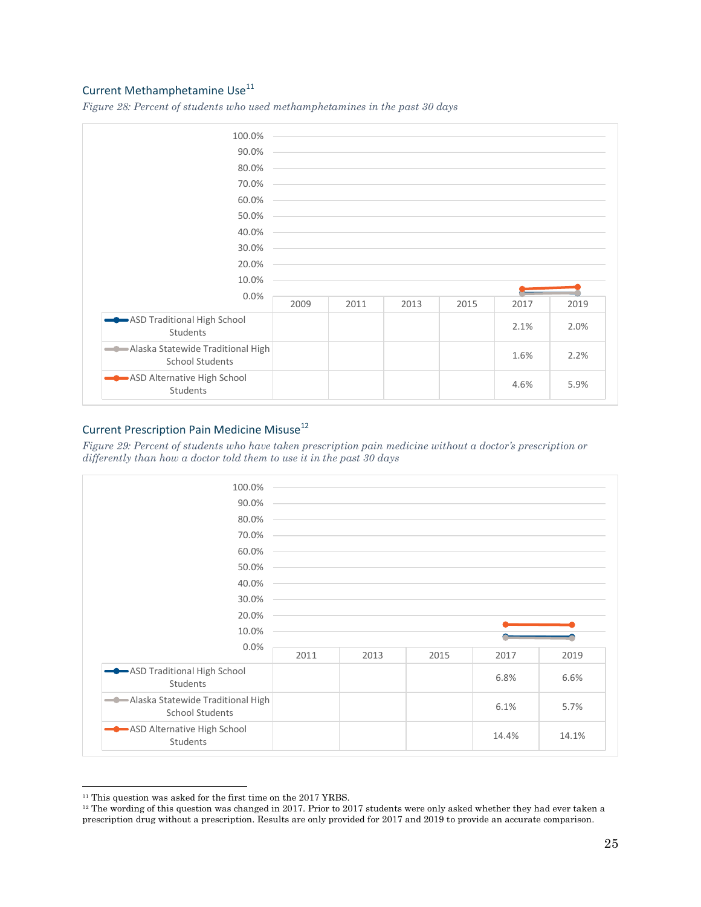### <span id="page-24-0"></span>Current Methamphetamine Use<sup>11</sup>

*Figure 28: Percent of students who used methamphetamines in the past 30 days*

| 100.0%<br>90.0%<br>80.0%<br>70.0%<br>60.0%                   |      |      |      | the control of the control of the control of the control of the control of the control of the control of the control of the control of the control of the control of the control of the control of the control of the control |      |      |
|--------------------------------------------------------------|------|------|------|-------------------------------------------------------------------------------------------------------------------------------------------------------------------------------------------------------------------------------|------|------|
| 50.0%                                                        |      |      |      | and the control of the control of the control of the control of the control of the control of the control of the                                                                                                              |      |      |
| 40.0%                                                        |      |      |      |                                                                                                                                                                                                                               |      |      |
| 30.0%                                                        |      |      |      |                                                                                                                                                                                                                               |      |      |
| 20.0%                                                        |      |      |      |                                                                                                                                                                                                                               |      |      |
| 10.0%                                                        |      |      |      |                                                                                                                                                                                                                               |      |      |
| 0.0%                                                         | 2009 | 2011 | 2013 | 2015                                                                                                                                                                                                                          | 2017 | 2019 |
| ASD Traditional High School<br>Students                      |      |      |      |                                                                                                                                                                                                                               | 2.1% | 2.0% |
| -Alaska Statewide Traditional High<br><b>School Students</b> |      |      |      |                                                                                                                                                                                                                               | 1.6% | 2.2% |
| ASD Alternative High School<br>Students                      |      |      |      |                                                                                                                                                                                                                               | 4.6% | 5.9% |

### <span id="page-24-1"></span>Current Prescription Pain Medicine Misuse<sup>12</sup>

*Figure 29: Percent of students who have taken prescription pain medicine without a doctor's prescription or differently than how a doctor told them to use it in the past 30 days*



<sup>&</sup>lt;sup>11</sup> This question was asked for the first time on the 2017 YRBS.

<sup>12</sup> The wording of this question was changed in 2017. Prior to 2017 students were only asked whether they had ever taken a prescription drug without a prescription. Results are only provided for 2017 and 2019 to provide an accurate comparison.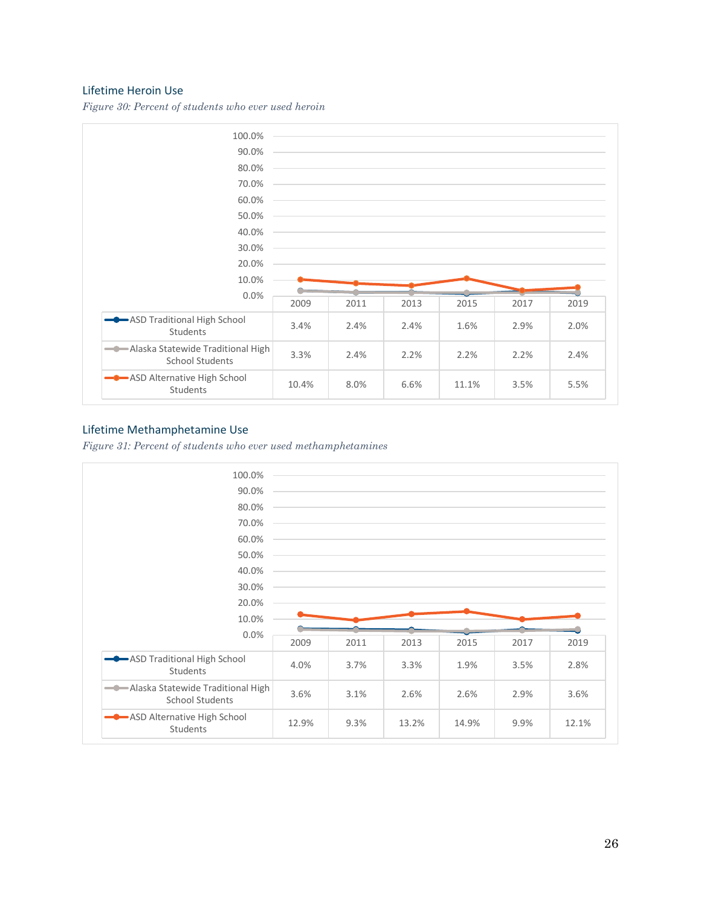#### <span id="page-25-0"></span>Lifetime Heroin Use

*Figure 30: Percent of students who ever used heroin*



### <span id="page-25-1"></span>Lifetime Methamphetamine Use

*Figure 31: Percent of students who ever used methamphetamines*

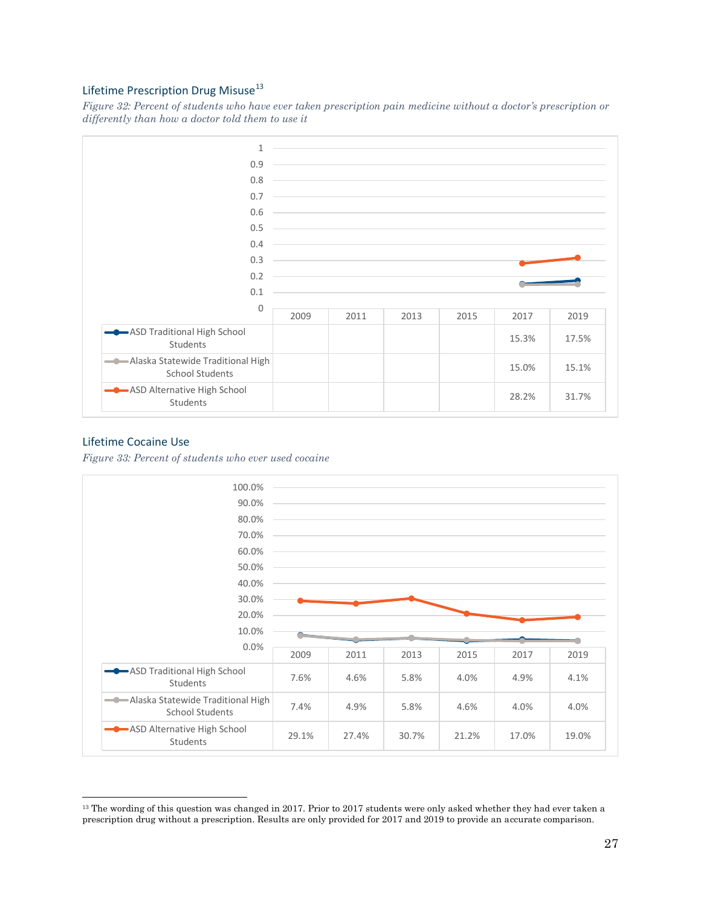### <span id="page-26-0"></span>Lifetime Prescription Drug Misuse<sup>13</sup>

*Figure 32: Percent of students who have ever taken prescription pain medicine without a doctor's prescription or differently than how a doctor told them to use it*



#### <span id="page-26-1"></span>Lifetime Cocaine Use

*Figure 33: Percent of students who ever used cocaine*



<sup>&</sup>lt;sup>13</sup> The wording of this question was changed in 2017. Prior to 2017 students were only asked whether they had ever taken a prescription drug without a prescription. Results are only provided for 2017 and 2019 to provide an accurate comparison.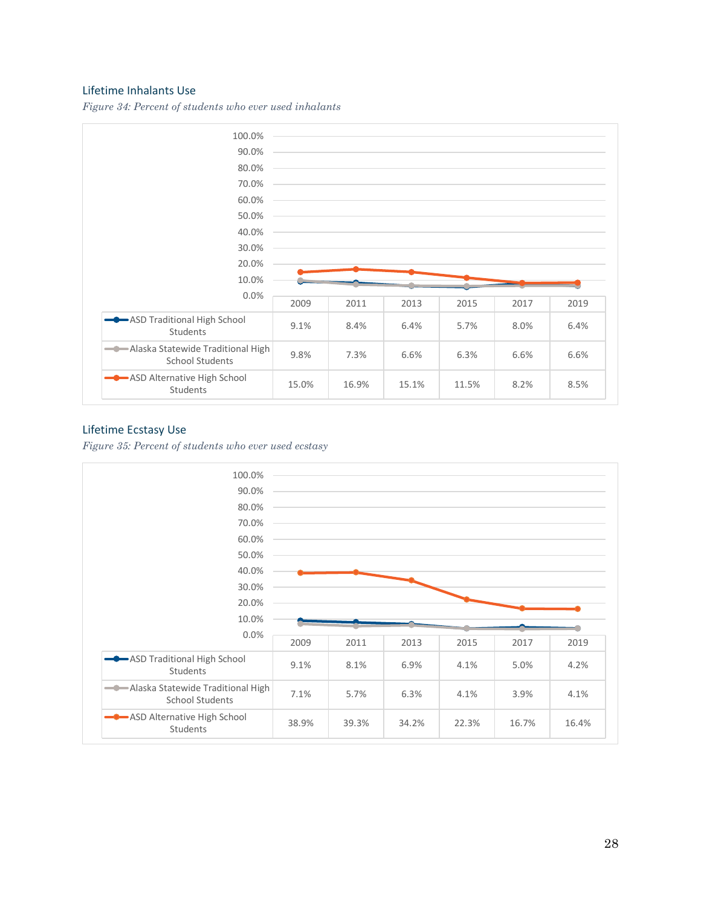#### <span id="page-27-0"></span>Lifetime Inhalants Use

*Figure 34: Percent of students who ever used inhalants*



#### <span id="page-27-1"></span>Lifetime Ecstasy Use

*Figure 35: Percent of students who ever used ecstasy*

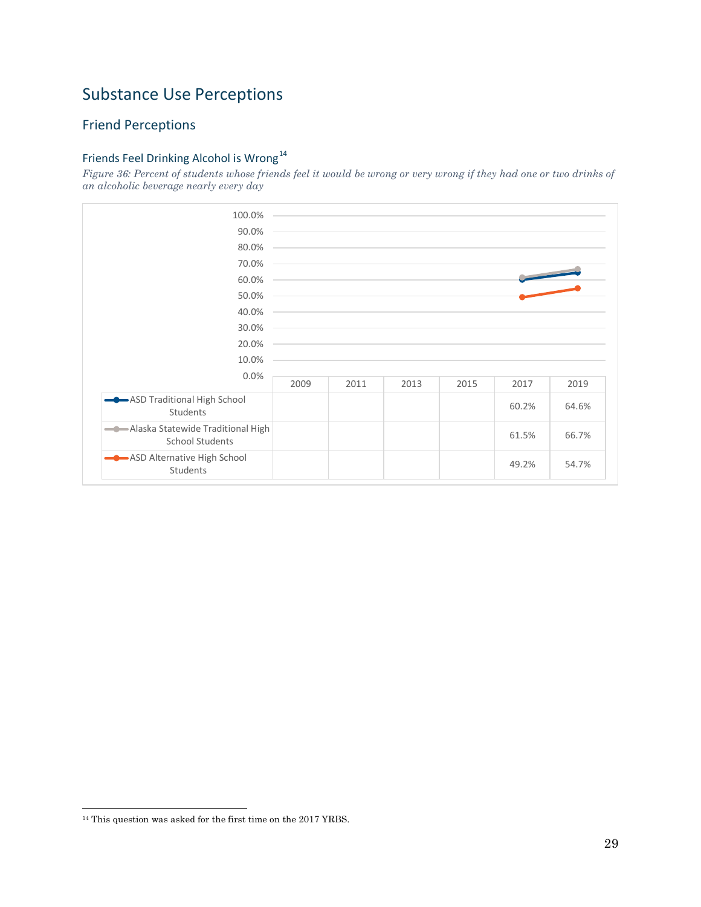## <span id="page-28-0"></span>Substance Use Perceptions

### <span id="page-28-1"></span>Friend Perceptions

### <span id="page-28-2"></span>Friends Feel Drinking Alcohol is Wrong<sup>14</sup>

*Figure 36: Percent of students whose friends feel it would be wrong or very wrong if they had one or two drinks of an alcoholic beverage nearly every day*



<sup>14</sup> This question was asked for the first time on the 2017 YRBS.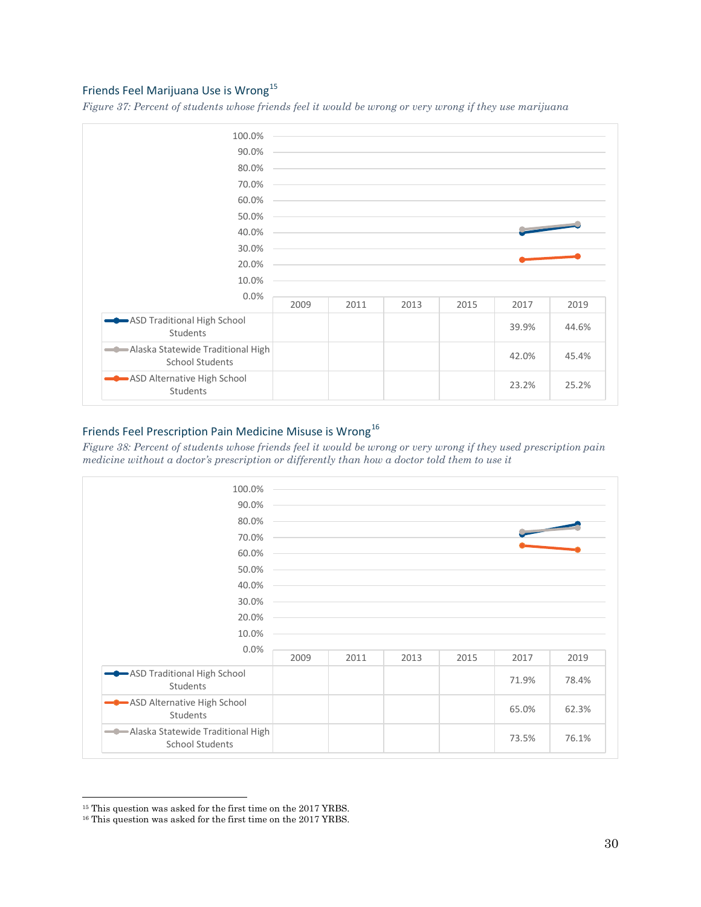### <span id="page-29-0"></span>Friends Feel Marijuana Use is Wrong<sup>15</sup>

*Figure 37: Percent of students whose friends feel it would be wrong or very wrong if they use marijuana*



## <span id="page-29-1"></span>Friends Feel Prescription Pain Medicine Misuse is Wrong<sup>16</sup>

*Figure 38: Percent of students whose friends feel it would be wrong or very wrong if they used prescription pain medicine without a doctor's prescription or differently than how a doctor told them to use it*



<sup>&</sup>lt;sup>15</sup> This question was asked for the first time on the 2017 YRBS.

<sup>&</sup>lt;sup>16</sup> This question was asked for the first time on the 2017 YRBS.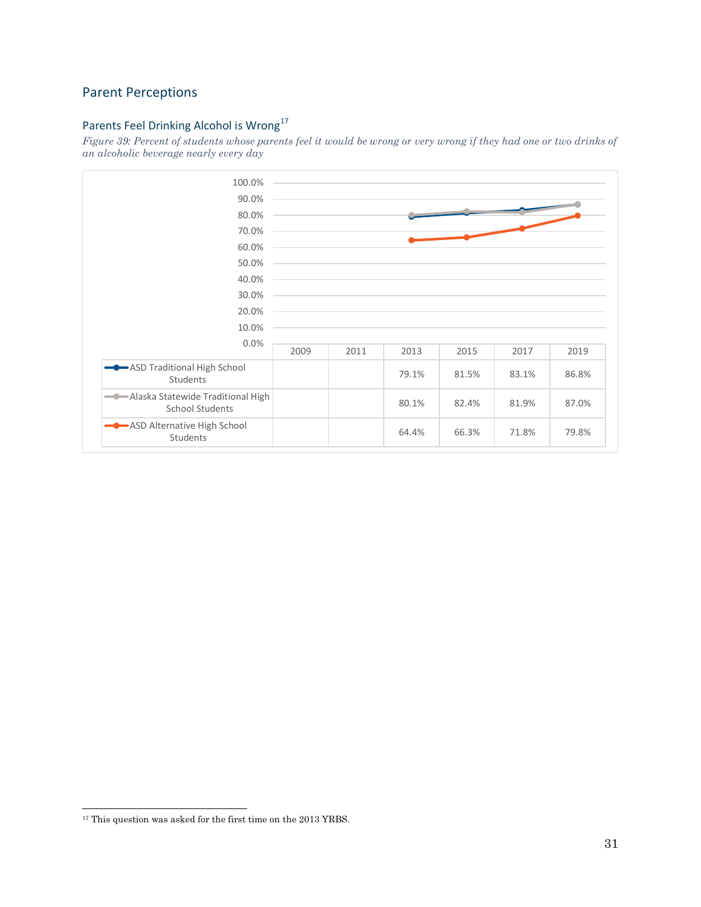### <span id="page-30-0"></span>Parent Perceptions

## <span id="page-30-1"></span>Parents Feel Drinking Alcohol is Wrong<sup>17</sup>

*Figure 39: Percent of students whose parents feel it would be wrong or very wrong if they had one or two drinks of an alcoholic beverage nearly every day*



<sup>&</sup>lt;sup>17</sup> This question was asked for the first time on the 2013 YRBS.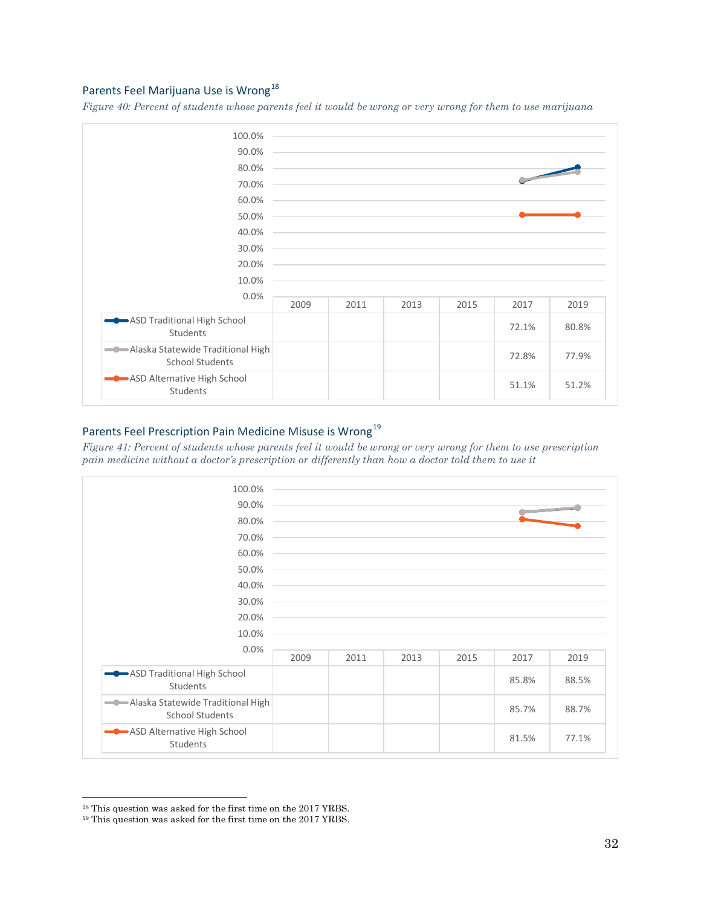### <span id="page-31-0"></span>Parents Feel Marijuana Use is Wrong<sup>18</sup>

*Figure 40: Percent of students whose parents feel it would be wrong or very wrong for them to use marijuana*



## <span id="page-31-1"></span>Parents Feel Prescription Pain Medicine Misuse is Wrong<sup>19</sup>

*Figure 41: Percent of students whose parents feel it would be wrong or very wrong for them to use prescription pain medicine without a doctor's prescription or differently than how a doctor told them to use it*



<sup>18</sup> This question was asked for the first time on the 2017 YRBS.

<sup>19</sup> This question was asked for the first time on the 2017 YRBS.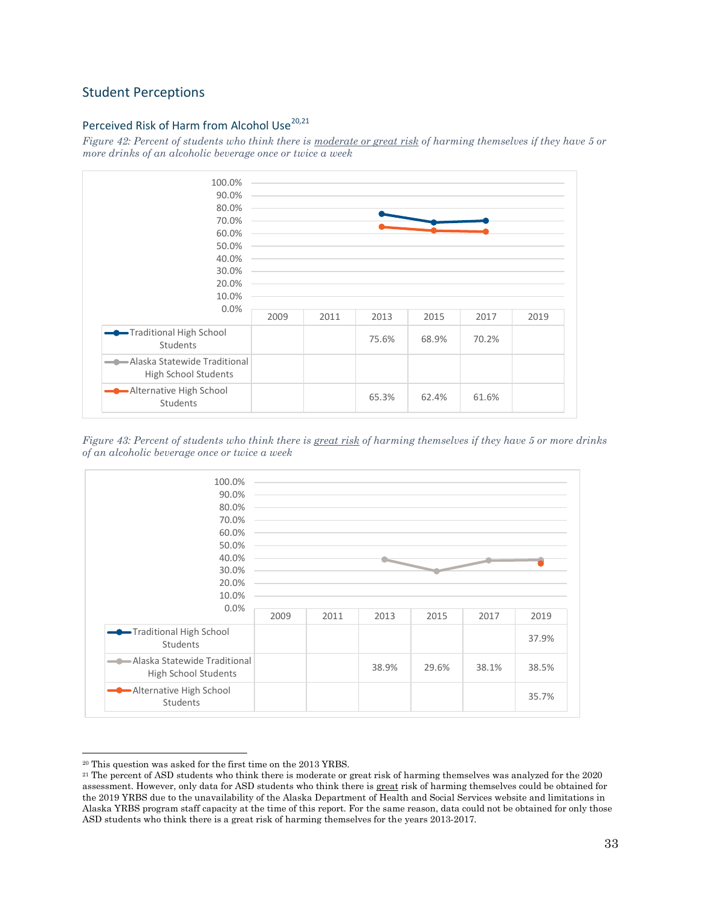### <span id="page-32-0"></span>Student Perceptions

### <span id="page-32-1"></span>Perceived Risk of Harm from Alcohol Use<sup>20,21</sup>

*Figure 42: Percent of students who think there is moderate or great risk of harming themselves if they have 5 or more drinks of an alcoholic beverage once or twice a week*



*Figure 43: Percent of students who think there is great risk of harming themselves if they have 5 or more drinks of an alcoholic beverage once or twice a week* 



<sup>20</sup> This question was asked for the first time on the 2013 YRBS.

<sup>21</sup> The percent of ASD students who think there is moderate or great risk of harming themselves was analyzed for the 2020 assessment. However, only data for ASD students who think there is great risk of harming themselves could be obtained for the 2019 YRBS due to the unavailability of the Alaska Department of Health and Social Services website and limitations in Alaska YRBS program staff capacity at the time of this report. For the same reason, data could not be obtained for only those ASD students who think there is a great risk of harming themselves for the years 2013-2017.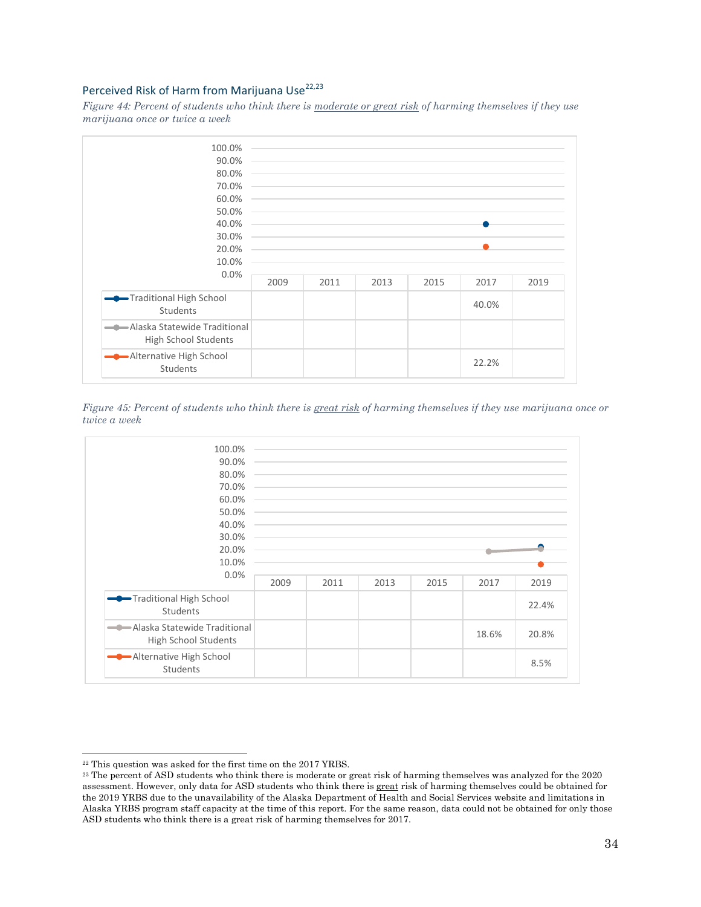### <span id="page-33-0"></span>Perceived Risk of Harm from Marijuana Use<sup>22,23</sup>

*Figure 44: Percent of students who think there is moderate or great risk of harming themselves if they use marijuana once or twice a week*



*Figure 45: Percent of students who think there is great risk of harming themselves if they use marijuana once or twice a week* 



<sup>22</sup> This question was asked for the first time on the 2017 YRBS.

<sup>&</sup>lt;sup>23</sup> The percent of ASD students who think there is moderate or great risk of harming themselves was analyzed for the 2020 assessment. However, only data for ASD students who think there is great risk of harming themselves could be obtained for the 2019 YRBS due to the unavailability of the Alaska Department of Health and Social Services website and limitations in Alaska YRBS program staff capacity at the time of this report. For the same reason, data could not be obtained for only those ASD students who think there is a great risk of harming themselves for 2017.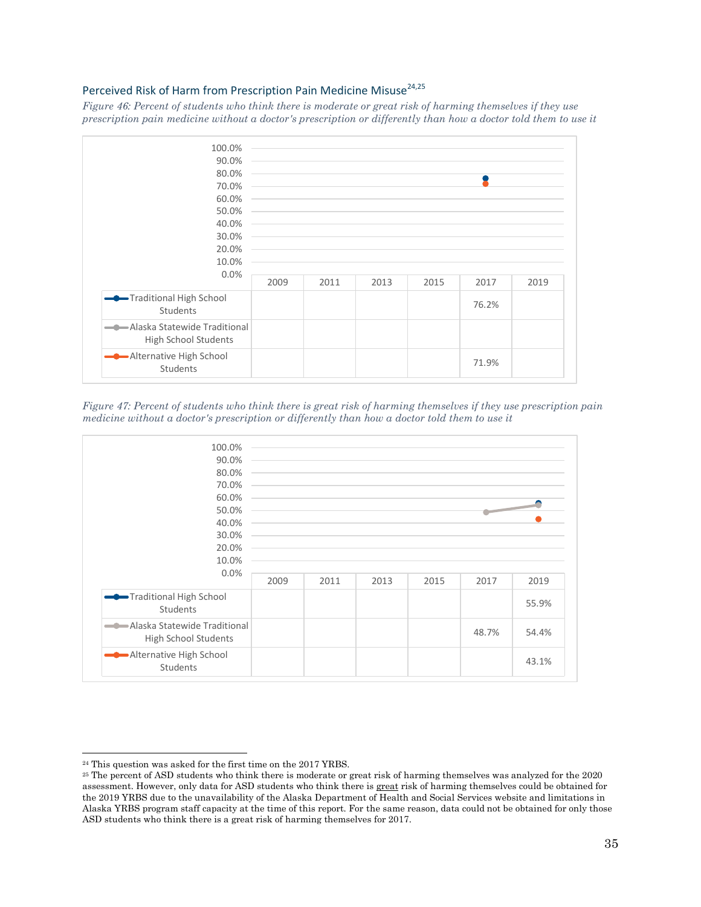### <span id="page-34-0"></span>Perceived Risk of Harm from Prescription Pain Medicine Misuse<sup>24,25</sup>

*Figure 46: Percent of students who think there is moderate or great risk of harming themselves if they use prescription pain medicine without a doctor's prescription or differently than how a doctor told them to use it*



*Figure 47: Percent of students who think there is great risk of harming themselves if they use prescription pain medicine without a doctor's prescription or differently than how a doctor told them to use it*



<sup>24</sup> This question was asked for the first time on the 2017 YRBS.

<sup>25</sup> The percent of ASD students who think there is moderate or great risk of harming themselves was analyzed for the 2020 assessment. However, only data for ASD students who think there is great risk of harming themselves could be obtained for the 2019 YRBS due to the unavailability of the Alaska Department of Health and Social Services website and limitations in Alaska YRBS program staff capacity at the time of this report. For the same reason, data could not be obtained for only those ASD students who think there is a great risk of harming themselves for 2017.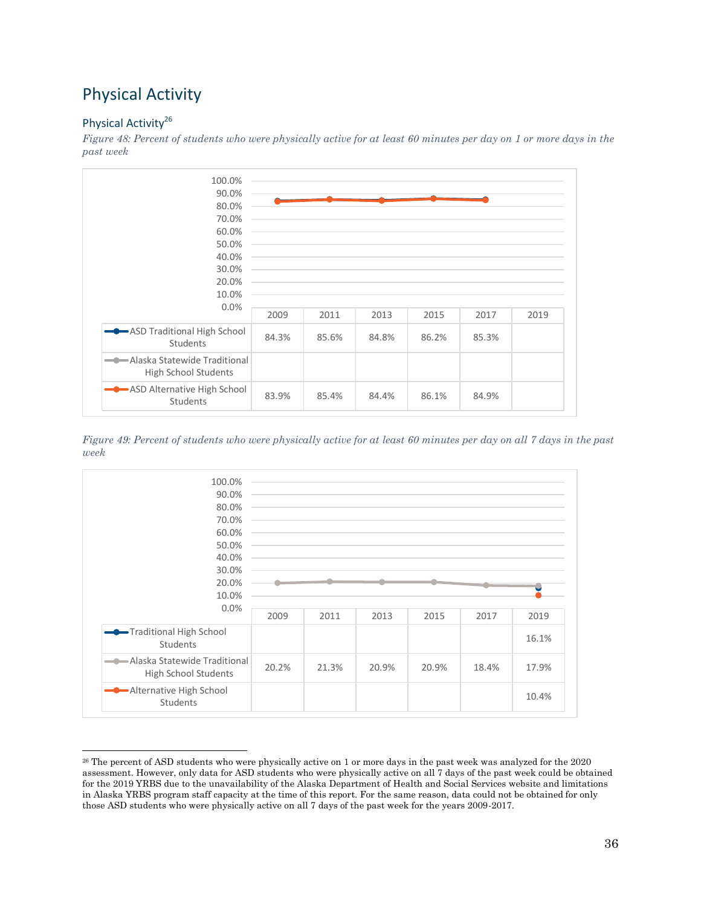## <span id="page-35-0"></span>Physical Activity

### <span id="page-35-1"></span>Physical Activity<sup>26</sup>

*Figure 48: Percent of students who were physically active for at least 60 minutes per day on 1 or more days in the past week*



*Figure 49: Percent of students who were physically active for at least 60 minutes per day on all 7 days in the past week*



<sup>26</sup> The percent of ASD students who were physically active on 1 or more days in the past week was analyzed for the 2020 assessment. However, only data for ASD students who were physically active on all 7 days of the past week could be obtained for the 2019 YRBS due to the unavailability of the Alaska Department of Health and Social Services website and limitations in Alaska YRBS program staff capacity at the time of this report. For the same reason, data could not be obtained for only those ASD students who were physically active on all 7 days of the past week for the years 2009-2017.